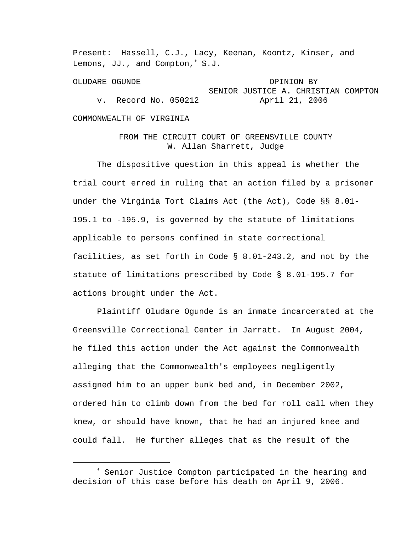Present: Hassell, C.J., Lacy, Keenan, Koontz, Kinser, and Lemons, JJ., and Compton,<sup>∗</sup> S.J.

OLUDARE OGUNDE OPINION BY SENIOR JUSTICE A. CHRISTIAN COMPTON v. Record No. 050212 April 21, 2006

## COMMONWEALTH OF VIRGINIA

i

## FROM THE CIRCUIT COURT OF GREENSVILLE COUNTY W. Allan Sharrett, Judge

 The dispositive question in this appeal is whether the trial court erred in ruling that an action filed by a prisoner under the Virginia Tort Claims Act (the Act), Code §§ 8.01- 195.1 to -195.9, is governed by the statute of limitations applicable to persons confined in state correctional facilities, as set forth in Code § 8.01-243.2, and not by the statute of limitations prescribed by Code § 8.01-195.7 for actions brought under the Act.

 Plaintiff Oludare Ogunde is an inmate incarcerated at the Greensville Correctional Center in Jarratt. In August 2004, he filed this action under the Act against the Commonwealth alleging that the Commonwealth's employees negligently assigned him to an upper bunk bed and, in December 2002, ordered him to climb down from the bed for roll call when they knew, or should have known, that he had an injured knee and could fall. He further alleges that as the result of the

<sup>∗</sup> Senior Justice Compton participated in the hearing and decision of this case before his death on April 9, 2006.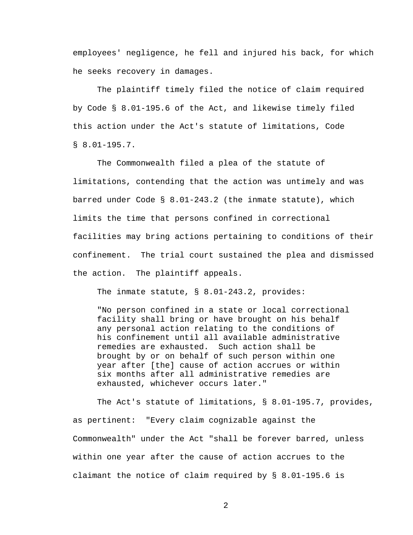employees' negligence, he fell and injured his back, for which he seeks recovery in damages.

 The plaintiff timely filed the notice of claim required by Code § 8.01-195.6 of the Act, and likewise timely filed this action under the Act's statute of limitations, Code § 8.01-195.7.

 The Commonwealth filed a plea of the statute of limitations, contending that the action was untimely and was barred under Code § 8.01-243.2 (the inmate statute), which limits the time that persons confined in correctional facilities may bring actions pertaining to conditions of their confinement. The trial court sustained the plea and dismissed the action. The plaintiff appeals.

The inmate statute, § 8.01-243.2, provides:

"No person confined in a state or local correctional facility shall bring or have brought on his behalf any personal action relating to the conditions of his confinement until all available administrative remedies are exhausted. Such action shall be brought by or on behalf of such person within one year after [the] cause of action accrues or within six months after all administrative remedies are exhausted, whichever occurs later."

 The Act's statute of limitations, § 8.01-195.7, provides, as pertinent: "Every claim cognizable against the Commonwealth" under the Act "shall be forever barred, unless within one year after the cause of action accrues to the claimant the notice of claim required by § 8.01-195.6 is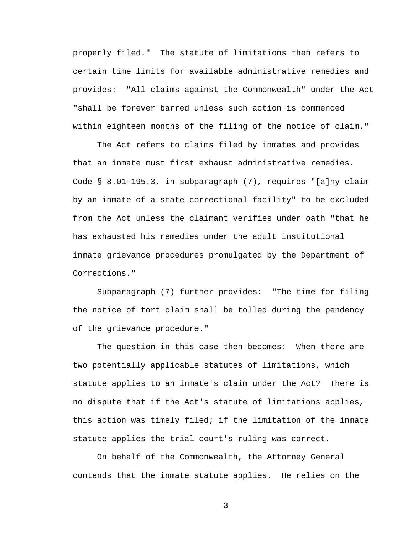properly filed." The statute of limitations then refers to certain time limits for available administrative remedies and provides: "All claims against the Commonwealth" under the Act "shall be forever barred unless such action is commenced within eighteen months of the filing of the notice of claim."

 The Act refers to claims filed by inmates and provides that an inmate must first exhaust administrative remedies. Code § 8.01-195.3, in subparagraph (7), requires "[a]ny claim by an inmate of a state correctional facility" to be excluded from the Act unless the claimant verifies under oath "that he has exhausted his remedies under the adult institutional inmate grievance procedures promulgated by the Department of Corrections."

 Subparagraph (7) further provides: "The time for filing the notice of tort claim shall be tolled during the pendency of the grievance procedure."

 The question in this case then becomes: When there are two potentially applicable statutes of limitations, which statute applies to an inmate's claim under the Act? There is no dispute that if the Act's statute of limitations applies, this action was timely filed; if the limitation of the inmate statute applies the trial court's ruling was correct.

 On behalf of the Commonwealth, the Attorney General contends that the inmate statute applies. He relies on the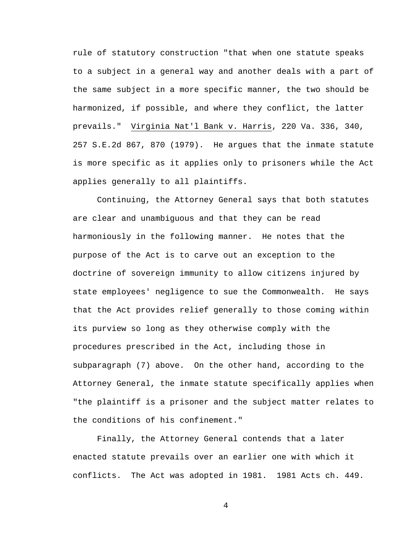rule of statutory construction "that when one statute speaks to a subject in a general way and another deals with a part of the same subject in a more specific manner, the two should be harmonized, if possible, and where they conflict, the latter prevails." Virginia Nat'l Bank v. Harris, 220 Va. 336, 340, 257 S.E.2d 867, 870 (1979). He argues that the inmate statute is more specific as it applies only to prisoners while the Act applies generally to all plaintiffs.

 Continuing, the Attorney General says that both statutes are clear and unambiguous and that they can be read harmoniously in the following manner. He notes that the purpose of the Act is to carve out an exception to the doctrine of sovereign immunity to allow citizens injured by state employees' negligence to sue the Commonwealth. He says that the Act provides relief generally to those coming within its purview so long as they otherwise comply with the procedures prescribed in the Act, including those in subparagraph (7) above. On the other hand, according to the Attorney General, the inmate statute specifically applies when "the plaintiff is a prisoner and the subject matter relates to the conditions of his confinement."

 Finally, the Attorney General contends that a later enacted statute prevails over an earlier one with which it conflicts. The Act was adopted in 1981. 1981 Acts ch. 449.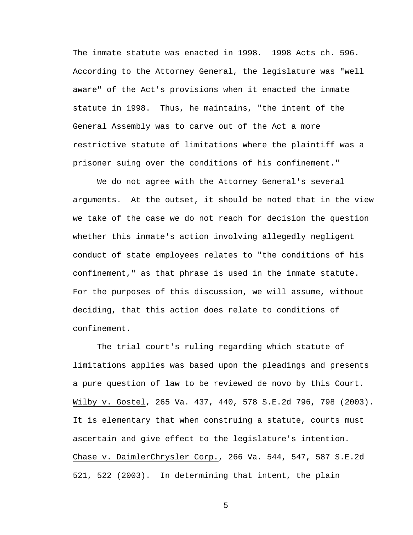The inmate statute was enacted in 1998. 1998 Acts ch. 596. According to the Attorney General, the legislature was "well aware" of the Act's provisions when it enacted the inmate statute in 1998. Thus, he maintains, "the intent of the General Assembly was to carve out of the Act a more restrictive statute of limitations where the plaintiff was a prisoner suing over the conditions of his confinement."

 We do not agree with the Attorney General's several arguments. At the outset, it should be noted that in the view we take of the case we do not reach for decision the question whether this inmate's action involving allegedly negligent conduct of state employees relates to "the conditions of his confinement," as that phrase is used in the inmate statute. For the purposes of this discussion, we will assume, without deciding, that this action does relate to conditions of confinement.

 The trial court's ruling regarding which statute of limitations applies was based upon the pleadings and presents a pure question of law to be reviewed de novo by this Court. Wilby v. Gostel, 265 Va. 437, 440, 578 S.E.2d 796, 798 (2003). It is elementary that when construing a statute, courts must ascertain and give effect to the legislature's intention. Chase v. DaimlerChrysler Corp., 266 Va. 544, 547, 587 S.E.2d 521, 522 (2003). In determining that intent, the plain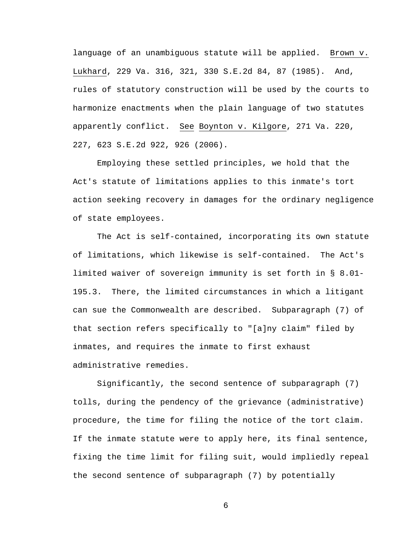language of an unambiguous statute will be applied. Brown v. Lukhard, 229 Va. 316, 321, 330 S.E.2d 84, 87 (1985). And, rules of statutory construction will be used by the courts to harmonize enactments when the plain language of two statutes apparently conflict. See Boynton v. Kilgore, 271 Va. 220, 227, 623 S.E.2d 922, 926 (2006).

 Employing these settled principles, we hold that the Act's statute of limitations applies to this inmate's tort action seeking recovery in damages for the ordinary negligence of state employees.

 The Act is self-contained, incorporating its own statute of limitations, which likewise is self-contained. The Act's limited waiver of sovereign immunity is set forth in § 8.01- 195.3. There, the limited circumstances in which a litigant can sue the Commonwealth are described. Subparagraph (7) of that section refers specifically to "[a]ny claim" filed by inmates, and requires the inmate to first exhaust administrative remedies.

 Significantly, the second sentence of subparagraph (7) tolls, during the pendency of the grievance (administrative) procedure, the time for filing the notice of the tort claim. If the inmate statute were to apply here, its final sentence, fixing the time limit for filing suit, would impliedly repeal the second sentence of subparagraph (7) by potentially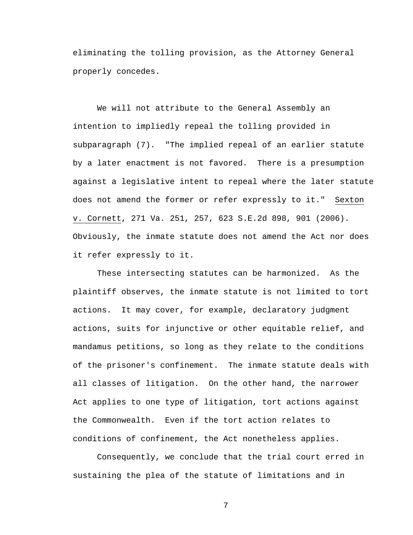eliminating the tolling provision, as the Attorney General properly concedes.

 We will not attribute to the General Assembly an intention to impliedly repeal the tolling provided in subparagraph (7). "The implied repeal of an earlier statute by a later enactment is not favored. There is a presumption against a legislative intent to repeal where the later statute does not amend the former or refer expressly to it." Sexton v. Cornett, 271 Va. 251, 257, 623 S.E.2d 898, 901 (2006). Obviously, the inmate statute does not amend the Act nor does it refer expressly to it.

 These intersecting statutes can be harmonized. As the plaintiff observes, the inmate statute is not limited to tort actions. It may cover, for example, declaratory judgment actions, suits for injunctive or other equitable relief, and mandamus petitions, so long as they relate to the conditions of the prisoner's confinement. The inmate statute deals with all classes of litigation. On the other hand, the narrower Act applies to one type of litigation, tort actions against the Commonwealth. Even if the tort action relates to conditions of confinement, the Act nonetheless applies.

 Consequently, we conclude that the trial court erred in sustaining the plea of the statute of limitations and in